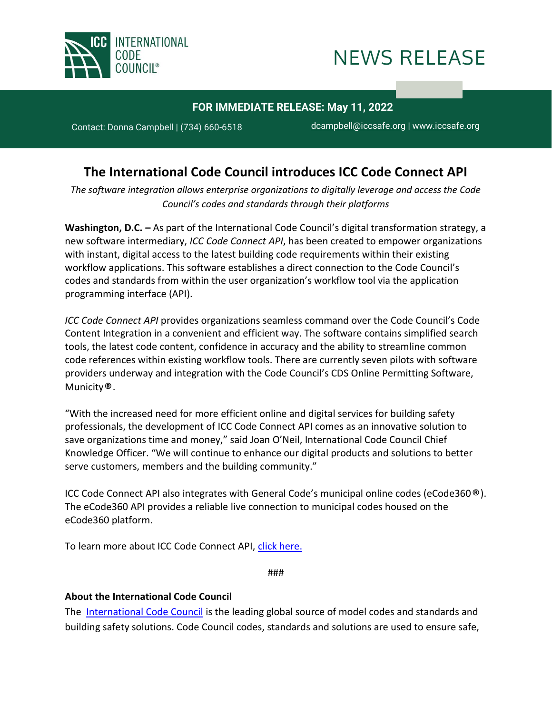



## **FOR IMMEDIATE RELEASE: May 11, 2022**

**2021202120212021X** Contact: Donna Campbell | (734) 660-6518 [dcampbell@iccsafe.org](mailto:dcampbell@iccsafe.org) <sup>|</sup> [www.iccsafe.org](https://protect-us.mimecast.com/s/a2HhCOYROQfkGkPiX_TiJ?domain=mailing.iccsafe.org)

## **The International Code Council introduces ICC Code Connect API**

*The software integration allows enterprise organizations to digitally leverage and access the Code Council's codes and standards through their platforms*

**Washington, D.C. –** As part of the International Code Council's digital transformation strategy, a new software intermediary, *ICC Code Connect API*, has been created to empower organizations with instant, digital access to the latest building code requirements within their existing workflow applications. This software establishes a direct connection to the Code Council's codes and standards from within the user organization's workflow tool via the application programming interface (API).

*ICC Code Connect API* provides organizations seamless command over the Code Council's Code Content Integration in a convenient and efficient way. The software contains simplified search tools, the latest code content, confidence in accuracy and the ability to streamline common code references within existing workflow tools. There are currently seven pilots with software providers underway and integration with the Code Council's CDS Online Permitting Software, Municity**®**.

"With the increased need for more efficient online and digital services for building safety professionals, the development of ICC Code Connect API comes as an innovative solution to save organizations time and money," said Joan O'Neil, International Code Council Chief Knowledge Officer. "We will continue to enhance our digital products and solutions to better serve customers, members and the building community."

ICC Code Connect API also integrates with General Code's municipal online codes (eCode360**®**). The eCode360 API provides a reliable live connection to municipal codes housed on the eCode360 platform.

To learn more about ICC Code Connect API, [click here.](https://solutions.iccsafe.org/codeconnect)

###

## **About the International Code Council**

The [International Code Council](https://www.iccsafe.org/) is the leading global source of model codes and standards and building safety solutions. Code Council codes, standards and solutions are used to ensure safe,